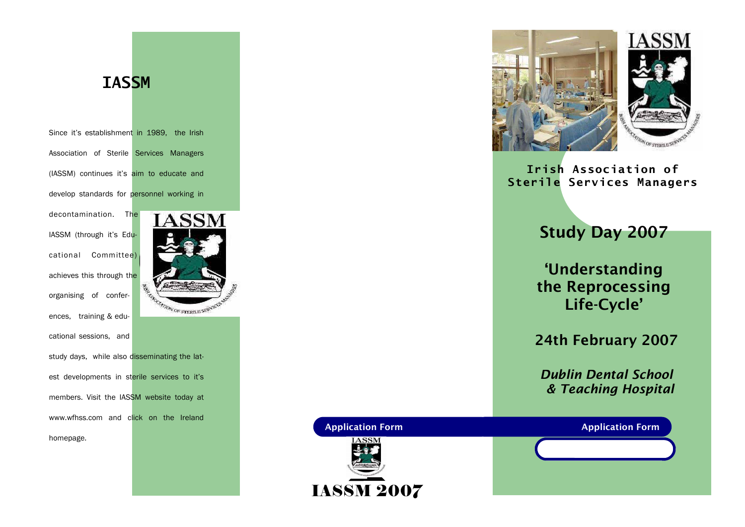## **IASSM**

Since it's establishment in 1989, the Irish Association of Sterile Services Managers (IASSM) continues it's aim to educate and develop standards for personnel working in

decontamination. The IASSM (through it's Educational Committee) achieves this through the 甍 organising of conferences, training & educational sessions, and study days, while also disseminating the latest developments in sterile services to it's members. Visit the IASSM website today at www.wfhss.com and click on the Ireland homepage.





Irish Association of Sterile Services Managers

Study Day 2007

'Understanding the Reprocessing Life-Cycle'

24th February 2007

Dublin Dental School & Teaching Hospital